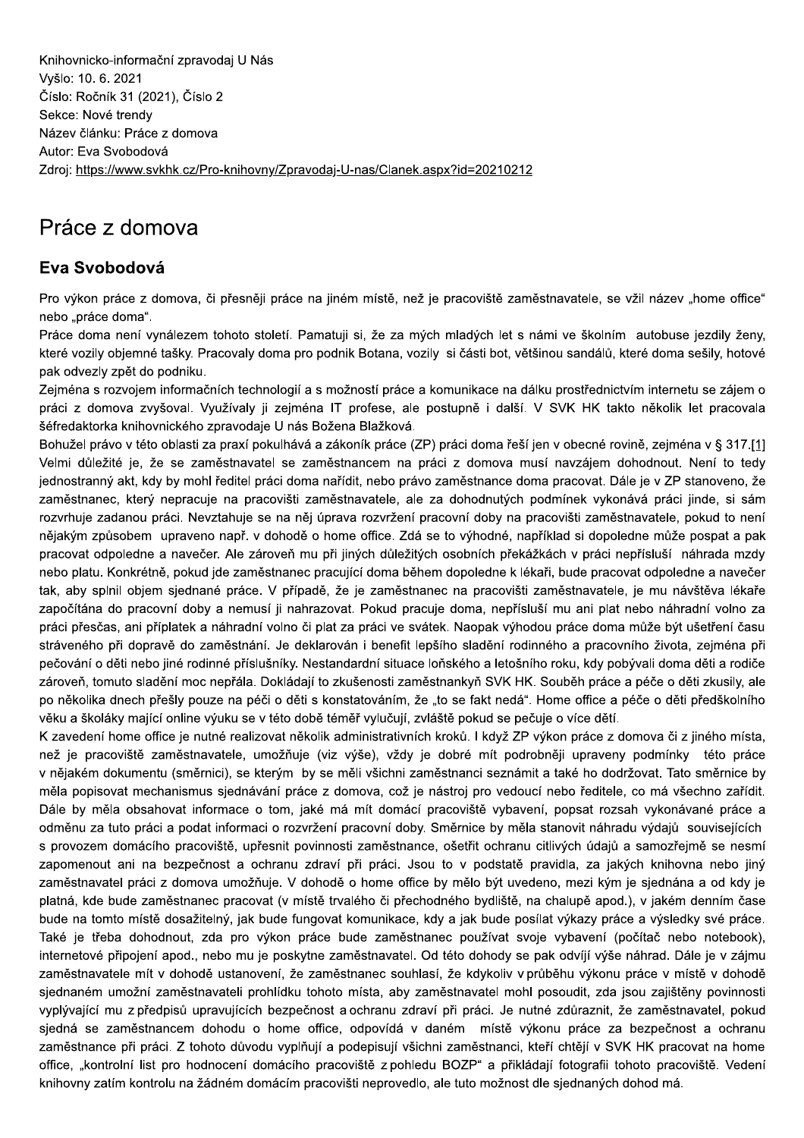Knihovnicko-informační zpravodaj U Nás Vyšlo: 10. 6. 2021 Číslo: Ročník 31 (2021), Číslo 2 Sekce: Nové trendy Název článku: Práce z domova Autor: Eva Svobodová Zdroj: https://www.svkhk.cz/Pro-knihovny/Zpravodaj-U-nas/Clanek.aspx?id=20210212

## Práce z domova

## Eva Svobodová

Pro výkon práce z domova, či přesněji práce na jiném místě, než je pracoviště zaměstnavatele, se vžil název "home office" nebo "práce doma".

Práce doma není vynálezem tohoto století. Pamatuji si, že za mých mladých let s námi ve školním autobuse jezdily ženy, které vozily objemné tašky. Pracovaly doma pro podnik Botana, vozily si části bot, většinou sandálů, které doma sešily, hotové pak odvezly zpět do podniku.

Zejména s rozvojem informačních technologií a s možností práce a komunikace na dálku prostřednictvím internetu se zájem o práci z domova zvyšoval. Využívaly ji zejména IT profese, ale postupně i další. V SVK HK takto několik let pracovala šéfredaktorka knihovnického zpravodaje U nás Božena Blažková.

Bohužel právo v této oblasti za praxí pokulhává a zákoník práce (ZP) práci doma řeší jen v obecné rovině, zejména v § 317.[1] Velmi důležité je, že se zaměstnavatel se zaměstnancem na práci z domova musí navzájem dohodnout. Není to tedy jednostranný akt, kdy by mohl ředitel práci doma nařídit, nebo právo zaměstnance doma pracovat. Dále je v ZP stanoveno, že zaměstnanec, který nepracuje na pracovišti zaměstnavatele, ale za dohodnutých podmínek vykonává práci jinde, si sám rozvrhuje zadanou práci. Nevztahuje se na něj úprava rozvržení pracovní doby na pracovišti zaměstnavatele, pokud to není nějakým způsobem upraveno např. v dohodě o home office. Zdá se to výhodné, například si dopoledne může pospat a pak pracovat odpoledne a navečer. Ale zároveň mu při jiných důležitých osobních překážkách v práci nepřísluší náhrada mzdy nebo platu. Konkrétně, pokud jde zaměstnanec pracující doma během dopoledne k lékaři, bude pracovat odpoledne a navečer tak, aby splnil objem sjednané práce. V případě, že je zaměstnanec na pracovišti zaměstnavatele, je mu návštěva lékaře započítána do pracovní doby a nemusí ji nahrazovat. Pokud pracuje doma, nepřísluší mu ani plat nebo náhradní volno za práci přesčas, ani příplatek a náhradní volno či plat za práci ve svátek. Naopak výhodou práce doma může být ušetření času stráveného při dopravě do zaměstnání. Je deklarován i benefit lepšího sladění rodinného a pracovního života, zejména při pečování o děti nebo jiné rodinné příslušníky. Nestandardní situace loňského a letošního roku, kdy pobývali doma děti a rodiče zároveň, tomuto sladění moc nepřála. Dokládají to zkušenosti zaměstnankyň SVK HK. Souběh práce a péče o děti zkusily, ale po několika dnech přešly pouze na péči o děti s konstatováním, že "to se fakt nedá". Home office a péče o děti předškolního věku a školáky mající online výuku se v této době téměř vylučují, zvláště pokud se pečuje o více dětí.

K zavedení home office je nutné realizovat několik administrativních kroků. I když ZP výkon práce z domova či z jiného místa, než je pracoviště zaměstnavatele, umožňuje (viz výše), vždy je dobré mít podrobněji upraveny podmínky této práce v nějakém dokumentu (směrnici), se kterým by se měli všichni zaměstnanci seznámit a také ho dodržovat. Tato směrnice by měla popisovat mechanismus sjednávání práce z domova, což je nástroj pro vedoucí nebo ředitele, co má všechno zařídit. Dále by měla obsahovat informace o tom, jaké má mít domácí pracoviště vybavení, popsat rozsah vykonávané práce a odměnu za tuto práci a podat informaci o rozvržení pracovní doby. Směrnice by měla stanovit náhradu výdajů souvisejících s provozem domácího pracoviště, upřesnit povinnosti zaměstnance, ošetřit ochranu citlivých údajů a samozřejmě se nesmí zapomenout ani na bezpečnost a ochranu zdraví při práci. Jsou to v podstatě pravidla, za jakých knihovna nebo jiný zaměstnavatel práci z domova umožňuje. V dohodě o home office by mělo být uvedeno, mezi kým je sjednána a od kdy je platná, kde bude zaměstnanec pracovat (v místě trvalého či přechodného bydliště, na chalupě apod.), v jakém denním čase bude na tomto místě dosažitelný, jak bude fungovat komunikace, kdy a jak bude posílat výkazy práce a výsledky své práce. Také je třeba dohodnout, zda pro výkon práce bude zaměstnanec používat svoje vybavení (počítač nebo notebook), internetové připojení apod., nebo mu je poskytne zaměstnavatel. Od této dohody se pak odvíjí výše náhrad. Dále je v zájmu zaměstnavatele mít v dohodě ustanovení, že zaměstnanec souhlasí, že kdykoliv v průběhu výkonu práce v místě v dohodě sjednaném umožní zaměstnavateli prohlídku tohoto místa, aby zaměstnavatel mohl posoudit, zda jsou zajištěny povinnosti vyplývající mu z předpisů upravujících bezpečnost a ochranu zdraví při práci. Je nutné zdůraznit, že zaměstnavatel, pokud siedná se zaměstnancem dohodu o home office, odpovídá v daném místě výkonu práce za bezpečnost a ochranu zaměstnance při práci. Z tohoto důvodu vyplňují a podepisují všichni zaměstnanci, kteří chtějí v SVK HK pracovat na home office, "kontrolní list pro hodnocení domácího pracoviště z pohledu BOZP" a přikládají fotografii tohoto pracoviště. Vedení knihovny zatím kontrolu na žádném domácím pracovišti neprovedlo, ale tuto možnost dle sjednaných dohod má.